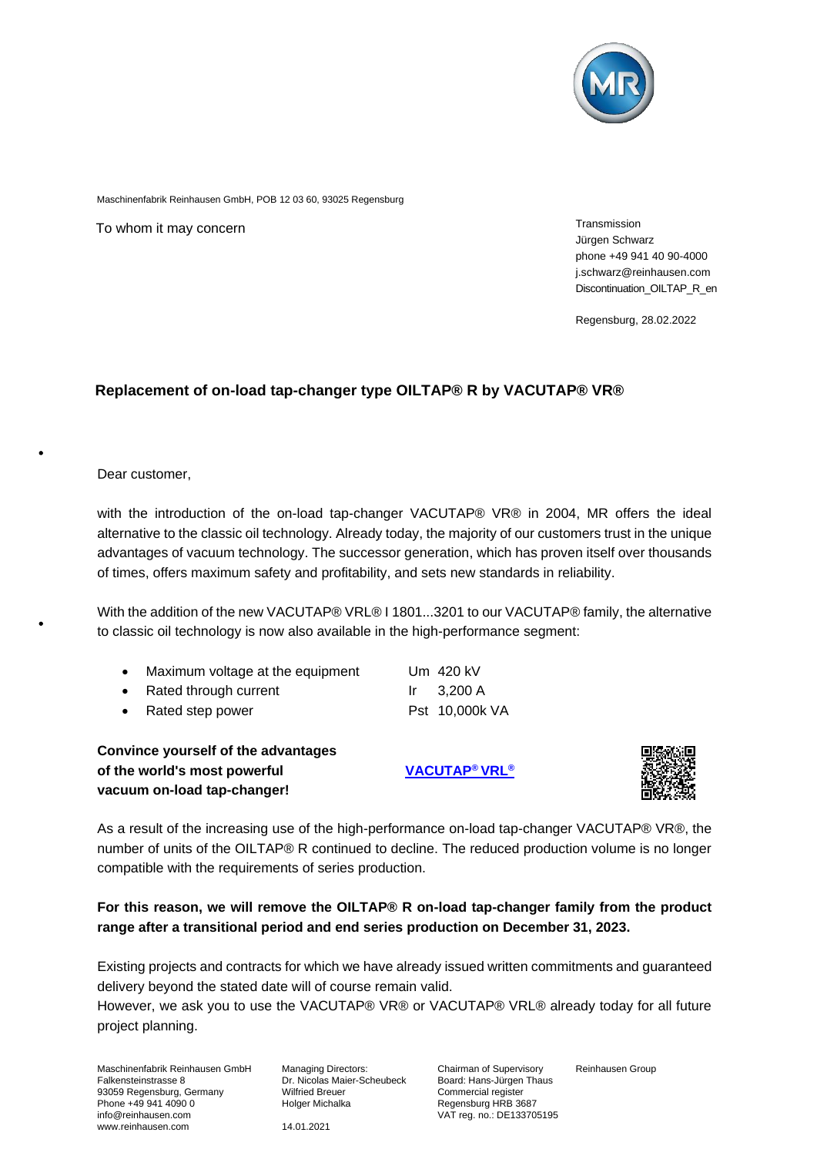

Maschinenfabrik Reinhausen GmbH, POB 12 03 60, 93025 Regensburg

To whom it may concern metallicity of the state of the state of the state of the Transmission

Jürgen Schwarz phone +49 941 40 90-4000 j.schwarz@reinhausen.com Discontinuation\_OILTAP\_R\_en

Regensburg, 28.02.2022

## **Replacement of on-load tap-changer type OILTAP® R by VACUTAP® VR®**

Dear customer,

with the introduction of the on-load tap-changer VACUTAP® VR® in 2004, MR offers the ideal alternative to the classic oil technology. Already today, the majority of our customers trust in the unique advantages of vacuum technology. The successor generation, which has proven itself over thousands of times, offers maximum safety and profitability, and sets new standards in reliability.

With the addition of the new VACUTAP® VRL® I 1801...3201 to our VACUTAP® family, the alternative to classic oil technology is now also available in the high-performance segment:

|  |  | Maximum voltage at the equipment |
|--|--|----------------------------------|
|--|--|----------------------------------|

| • Rated through current | $Ir \t3,200 A$ |
|-------------------------|----------------|
| • Rated step power      | Pst 10,000k VA |

**Convince yourself of the advantages of the world's most powerful [VACUTAP](https://www.reinhausen.com/productdetail/on-load-tap-changers/vacutap-vrl)® VRL® vacuum on-load tap-changer!** 

Um  $420$  kV



As a result of the increasing use of the high-performance on-load tap-changer VACUTAP® VR®, the number of units of the OILTAP® R continued to decline. The reduced production volume is no longer compatible with the requirements of series production.

**For this reason, we will remove the OILTAP® R on-load tap-changer family from the product range after a transitional period and end series production on December 31, 2023.**

Existing projects and contracts for which we have already issued written commitments and guaranteed delivery beyond the stated date will of course remain valid.

However, we ask you to use the VACUTAP® VR® or VACUTAP® VRL® already today for all future project planning.

Maschinenfabrik Reinhausen GmbH Falkensteinstrasse 8 93059 Regensburg, Germany Phone +49 941 4090 0 info@reinhausen.com www.reinhausen.com

Managing Directors: Dr. Nicolas Maier-Scheubeck Wilfried Breuer Holger Michalka

Chairman of Supervisory Board: Hans-Jürgen Thaus Commercial register Regensburg HRB 3687 VAT reg. no.: DE133705195 Reinhausen Group

14.01.2021